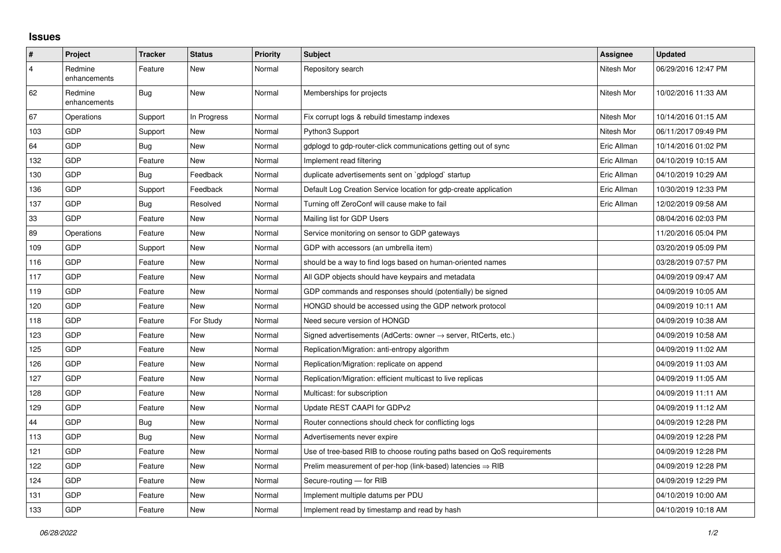## **Issues**

| $\vert$ #      | Project                 | <b>Tracker</b> | <b>Status</b> | <b>Priority</b> | <b>Subject</b>                                                             | Assignee    | <b>Updated</b>      |
|----------------|-------------------------|----------------|---------------|-----------------|----------------------------------------------------------------------------|-------------|---------------------|
| $\overline{4}$ | Redmine<br>enhancements | Feature        | <b>New</b>    | Normal          | Repository search                                                          | Nitesh Mor  | 06/29/2016 12:47 PM |
| 62             | Redmine<br>enhancements | <b>Bug</b>     | <b>New</b>    | Normal          | Memberships for projects                                                   | Nitesh Mor  | 10/02/2016 11:33 AM |
| 67             | Operations              | Support        | In Progress   | Normal          | Fix corrupt logs & rebuild timestamp indexes                               | Nitesh Mor  | 10/14/2016 01:15 AM |
| 103            | GDP                     | Support        | New           | Normal          | Python3 Support                                                            | Nitesh Mor  | 06/11/2017 09:49 PM |
| 64             | GDP                     | <b>Bug</b>     | <b>New</b>    | Normal          | gdplogd to gdp-router-click communications getting out of sync             | Eric Allman | 10/14/2016 01:02 PM |
| 132            | GDP                     | Feature        | <b>New</b>    | Normal          | Implement read filtering                                                   | Eric Allman | 04/10/2019 10:15 AM |
| 130            | GDP                     | Bug            | Feedback      | Normal          | duplicate advertisements sent on `gdplogd` startup                         | Eric Allman | 04/10/2019 10:29 AM |
| 136            | <b>GDP</b>              | Support        | Feedback      | Normal          | Default Log Creation Service location for gdp-create application           | Eric Allman | 10/30/2019 12:33 PM |
| 137            | GDP                     | Bug            | Resolved      | Normal          | Turning off ZeroConf will cause make to fail                               | Eric Allman | 12/02/2019 09:58 AM |
| 33             | <b>GDP</b>              | Feature        | <b>New</b>    | Normal          | Mailing list for GDP Users                                                 |             | 08/04/2016 02:03 PM |
| 89             | Operations              | Feature        | <b>New</b>    | Normal          | Service monitoring on sensor to GDP gateways                               |             | 11/20/2016 05:04 PM |
| 109            | GDP                     | Support        | <b>New</b>    | Normal          | GDP with accessors (an umbrella item)                                      |             | 03/20/2019 05:09 PM |
| 116            | <b>GDP</b>              | Feature        | <b>New</b>    | Normal          | should be a way to find logs based on human-oriented names                 |             | 03/28/2019 07:57 PM |
| 117            | <b>GDP</b>              | Feature        | <b>New</b>    | Normal          | All GDP objects should have keypairs and metadata                          |             | 04/09/2019 09:47 AM |
| 119            | GDP                     | Feature        | <b>New</b>    | Normal          | GDP commands and responses should (potentially) be signed                  |             | 04/09/2019 10:05 AM |
| 120            | <b>GDP</b>              | Feature        | <b>New</b>    | Normal          | HONGD should be accessed using the GDP network protocol                    |             | 04/09/2019 10:11 AM |
| 118            | GDP                     | Feature        | For Study     | Normal          | Need secure version of HONGD                                               |             | 04/09/2019 10:38 AM |
| 123            | <b>GDP</b>              | Feature        | <b>New</b>    | Normal          | Signed advertisements (AdCerts: owner $\rightarrow$ server, RtCerts, etc.) |             | 04/09/2019 10:58 AM |
| 125            | <b>GDP</b>              | Feature        | New           | Normal          | Replication/Migration: anti-entropy algorithm                              |             | 04/09/2019 11:02 AM |
| 126            | GDP                     | Feature        | <b>New</b>    | Normal          | Replication/Migration: replicate on append                                 |             | 04/09/2019 11:03 AM |
| 127            | <b>GDP</b>              | Feature        | <b>New</b>    | Normal          | Replication/Migration: efficient multicast to live replicas                |             | 04/09/2019 11:05 AM |
| 128            | <b>GDP</b>              | Feature        | New           | Normal          | Multicast: for subscription                                                |             | 04/09/2019 11:11 AM |
| 129            | GDP                     | Feature        | <b>New</b>    | Normal          | Update REST CAAPI for GDPv2                                                |             | 04/09/2019 11:12 AM |
| 44             | <b>GDP</b>              | <b>Bug</b>     | <b>New</b>    | Normal          | Router connections should check for conflicting logs                       |             | 04/09/2019 12:28 PM |
| 113            | <b>GDP</b>              | Bug            | <b>New</b>    | Normal          | Advertisements never expire                                                |             | 04/09/2019 12:28 PM |
| 121            | GDP                     | Feature        | <b>New</b>    | Normal          | Use of tree-based RIB to choose routing paths based on QoS requirements    |             | 04/09/2019 12:28 PM |
| 122            | <b>GDP</b>              | Feature        | <b>New</b>    | Normal          | Prelim measurement of per-hop (link-based) latencies $\Rightarrow$ RIB     |             | 04/09/2019 12:28 PM |
| 124            | GDP                     | Feature        | New           | Normal          | Secure-routing - for RIB                                                   |             | 04/09/2019 12:29 PM |
| 131            | GDP                     | Feature        | New           | Normal          | Implement multiple datums per PDU                                          |             | 04/10/2019 10:00 AM |
| 133            | <b>GDP</b>              | Feature        | <b>New</b>    | Normal          | Implement read by timestamp and read by hash                               |             | 04/10/2019 10:18 AM |